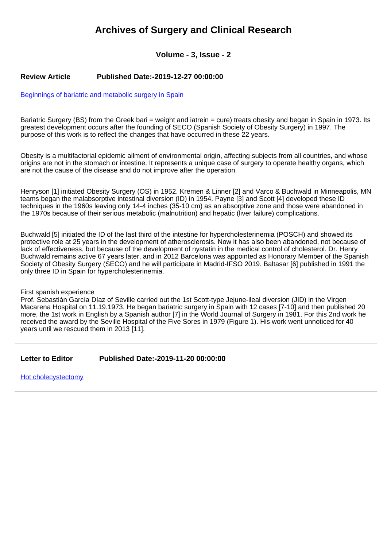# **Archives of Surgery and Clinical Research**

# **Volume - 3, Issue - 2**

#### **Review Article Published Date:-2019-12-27 00:00:00**

[Beginnings of bariatric and metabolic surgery in Spain](https://www.clinsurgeryjournal.com/articles/ascr-aid1042.pdf)

Bariatric Surgery (BS) from the Greek bari = weight and iatrein = cure) treats obesity and began in Spain in 1973. Its greatest development occurs after the founding of SECO (Spanish Society of Obesity Surgery) in 1997. The purpose of this work is to reflect the changes that have occurred in these 22 years.

Obesity is a multifactorial epidemic ailment of environmental origin, affecting subjects from all countries, and whose origins are not in the stomach or intestine. It represents a unique case of surgery to operate healthy organs, which are not the cause of the disease and do not improve after the operation.

Henryson [1] initiated Obesity Surgery (OS) in 1952. Kremen & Linner [2] and Varco & Buchwald in Minneapolis, MN teams began the malabsorptive intestinal diversion (ID) in 1954. Payne [3] and Scott [4] developed these ID techniques in the 1960s leaving only 14-4 inches (35-10 cm) as an absorptive zone and those were abandoned in the 1970s because of their serious metabolic (malnutrition) and hepatic (liver failure) complications.

Buchwald [5] initiated the ID of the last third of the intestine for hypercholesterinemia (POSCH) and showed its protective role at 25 years in the development of atherosclerosis. Now it has also been abandoned, not because of lack of effectiveness, but because of the development of nystatin in the medical control of cholesterol. Dr. Henry Buchwald remains active 67 years later, and in 2012 Barcelona was appointed as Honorary Member of the Spanish Society of Obesity Surgery (SECO) and he will participate in Madrid-IFSO 2019. Baltasar [6] published in 1991 the only three ID in Spain for hypercholesterinemia.

#### First spanish experience

Prof. Sebastián García Díaz of Seville carried out the 1st Scott-type Jejune-ileal diversion (JID) in the Virgen Macarena Hospital on 11.19.1973. He began bariatric surgery in Spain with 12 cases [7-10] and then published 20 more, the 1st work in English by a Spanish author [7] in the World Journal of Surgery in 1981. For this 2nd work he received the award by the Seville Hospital of the Five Sores in 1979 (Figure 1). His work went unnoticed for 40 years until we rescued them in 2013 [11].

**Letter to Editor Published Date:-2019-11-20 00:00:00**

[Hot cholecystectomy](https://www.clinsurgeryjournal.com/articles/ascr-aid1040.pdf)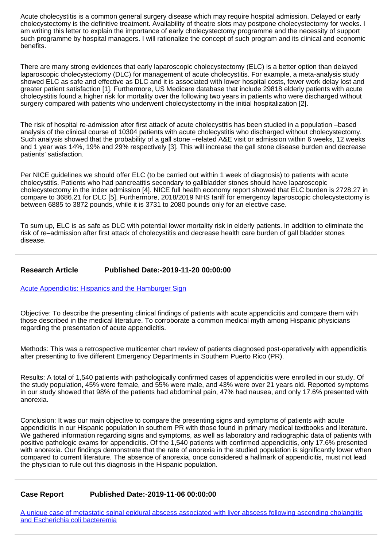Acute cholecystitis is a common general surgery disease which may require hospital admission. Delayed or early cholecystectomy is the definitive treatment. Availability of theatre slots may postpone cholecystectomy for weeks. I am writing this letter to explain the importance of early cholecystectomy programme and the necessity of support such programme by hospital managers. I will rationalize the concept of such program and its clinical and economic benefits.

There are many strong evidences that early laparoscopic cholecystectomy (ELC) is a better option than delayed laparoscopic cholecystectomy (DLC) for management of acute cholecystitis. For example, a meta-analysis study showed ELC as safe and effective as DLC and it is associated with lower hospital costs, fewer work delay lost and greater patient satisfaction [1]. Furthermore, US Medicare database that include 29818 elderly patients with acute cholecystitis found a higher risk for mortality over the following two years in patients who were discharged without surgery compared with patients who underwent cholecystectomy in the initial hospitalization [2].

The risk of hospital re-admission after first attack of acute cholecystitis has been studied in a population –based analysis of the clinical course of 10304 patients with acute cholecystitis who discharged without cholecystectomy. Such analysis showed that the probability of a gall stone –related A&E visit or admission within 6 weeks, 12 weeks and 1 year was 14%, 19% and 29% respectively [3]. This will increase the gall stone disease burden and decrease patients' satisfaction.

Per NICE guidelines we should offer ELC (to be carried out within 1 week of diagnosis) to patients with acute cholecystitis. Patients who had pancreatitis secondary to gallbladder stones should have laparoscopic cholecystectomy in the index admission [4]. NICE full health economy report showed that ELC burden is 2728.27 in compare to 3686.21 for DLC [5]. Furthermore, 2018/2019 NHS tariff for emergency laparoscopic cholecystectomy is between 6885 to 3872 pounds, while it is 3731 to 2080 pounds only for an elective case.

To sum up, ELC is as safe as DLC with potential lower mortality risk in elderly patients. In addition to eliminate the risk of re–admission after first attack of cholecystitis and decrease health care burden of gall bladder stones disease.

# **Research Article Published Date:-2019-11-20 00:00:00**

[Acute Appendicitis: Hispanics and the Hamburger Sign](https://www.clinsurgeryjournal.com/articles/ascr-aid1041.pdf)

Objective: To describe the presenting clinical findings of patients with acute appendicitis and compare them with those described in the medical literature. To corroborate a common medical myth among Hispanic physicians regarding the presentation of acute appendicitis.

Methods: This was a retrospective multicenter chart review of patients diagnosed post-operatively with appendicitis after presenting to five different Emergency Departments in Southern Puerto Rico (PR).

Results: A total of 1,540 patients with pathologically confirmed cases of appendicitis were enrolled in our study. Of the study population, 45% were female, and 55% were male, and 43% were over 21 years old. Reported symptoms in our study showed that 98% of the patients had abdominal pain, 47% had nausea, and only 17.6% presented with anorexia.

Conclusion: It was our main objective to compare the presenting signs and symptoms of patients with acute appendicitis in our Hispanic population in southern PR with those found in primary medical textbooks and literature. We gathered information regarding signs and symptoms, as well as laboratory and radiographic data of patients with positive pathologic exams for appendicitis. Of the 1,540 patients with confirmed appendicitis, only 17.6% presented with anorexia. Our findings demonstrate that the rate of anorexia in the studied population is significantly lower when compared to current literature. The absence of anorexia, once considered a hallmark of appendicitis, must not lead the physician to rule out this diagnosis in the Hispanic population.

### **Case Report Published Date:-2019-11-06 00:00:00**

[A unique case of metastatic spinal epidural abscess associated with liver abscess following ascending cholangitis](https://www.clinsurgeryjournal.com/articles/ascr-aid1039.pdf) [and Escherichia coli bacteremia](https://www.clinsurgeryjournal.com/articles/ascr-aid1039.pdf)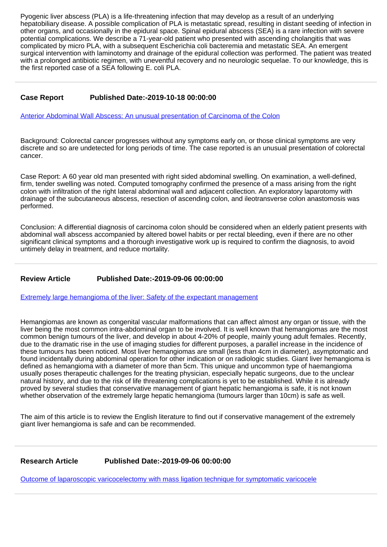Pyogenic liver abscess (PLA) is a life-threatening infection that may develop as a result of an underlying hepatobiliary disease. A possible complication of PLA is metastatic spread, resulting in distant seeding of infection in other organs, and occasionally in the epidural space. Spinal epidural abscess (SEA) is a rare infection with severe potential complications. We describe a 71-year-old patient who presented with ascending cholangitis that was complicated by micro PLA, with a subsequent Escherichia coli bacteremia and metastatic SEA. An emergent surgical intervention with laminotomy and drainage of the epidural collection was performed. The patient was treated with a prolonged antibiotic regimen, with uneventful recovery and no neurologic sequelae. To our knowledge, this is the first reported case of a SEA following E. coli PLA.

# **Case Report Published Date:-2019-10-18 00:00:00**

[Anterior Abdominal Wall Abscess: An unusual presentation of Carcinoma of the Colon](https://www.clinsurgeryjournal.com/articles/ascr-aid1038.pdf)

Background: Colorectal cancer progresses without any symptoms early on, or those clinical symptoms are very discrete and so are undetected for long periods of time. The case reported is an unusual presentation of colorectal cancer.

Case Report: A 60 year old man presented with right sided abdominal swelling. On examination, a well-defined, firm, tender swelling was noted. Computed tomography confirmed the presence of a mass arising from the right colon with infiltration of the right lateral abdominal wall and adjacent collection. An exploratory laparotomy with drainage of the subcutaneous abscess, resection of ascending colon, and ileotransverse colon anastomosis was performed.

Conclusion: A differential diagnosis of carcinoma colon should be considered when an elderly patient presents with abdominal wall abscess accompanied by altered bowel habits or per rectal bleeding, even if there are no other significant clinical symptoms and a thorough investigative work up is required to confirm the diagnosis, to avoid untimely delay in treatment, and reduce mortality.

### **Review Article Published Date:-2019-09-06 00:00:00**

[Extremely large hemangioma of the liver: Safety of the expectant management](https://www.clinsurgeryjournal.com/articles/ascr-aid1036.pdf)

Hemangiomas are known as congenital vascular malformations that can affect almost any organ or tissue, with the liver being the most common intra-abdominal organ to be involved. It is well known that hemangiomas are the most common benign tumours of the liver, and develop in about 4-20% of people, mainly young adult females. Recently, due to the dramatic rise in the use of imaging studies for different purposes, a parallel increase in the incidence of these tumours has been noticed. Most liver hemangiomas are small (less than 4cm in diameter), asymptomatic and found incidentally during abdominal operation for other indication or on radiologic studies. Giant liver hemangioma is defined as hemangioma with a diameter of more than 5cm. This unique and uncommon type of haemangioma usually poses therapeutic challenges for the treating physician, especially hepatic surgeons, due to the unclear natural history, and due to the risk of life threatening complications is yet to be established. While it is already proved by several studies that conservative management of giant hepatic hemangioma is safe, it is not known whether observation of the extremely large hepatic hemangioma (tumours larger than 10cm) is safe as well.

The aim of this article is to review the English literature to find out if conservative management of the extremely giant liver hemangioma is safe and can be recommended.

### **Research Article Published Date:-2019-09-06 00:00:00**

[Outcome of laparoscopic varicocelectomy with mass ligation technique for symptomatic varicocele](https://www.clinsurgeryjournal.com/articles/ascr-aid1037.pdf)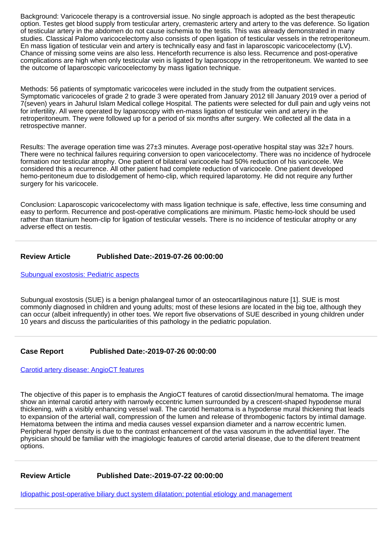Background: Varicocele therapy is a controversial issue. No single approach is adopted as the best therapeutic option. Testes get blood supply from testicular artery, cremasteric artery and artery to the vas deference. So ligation of testicular artery in the abdomen do not cause ischemia to the testis. This was already demonstrated in many studies. Classical Palomo varicocelectomy also consists of open ligation of testicular vessels in the retroperitoneum. En mass ligation of testicular vein and artery is technically easy and fast in laparoscopic varicocelectomy (LV). Chance of missing some veins are also less. Henceforth recurrence is also less. Recurrence and post-operative complications are high when only testicular vein is ligated by laparoscopy in the retroperitoneum. We wanted to see the outcome of laparoscopic varicocelectomy by mass ligation technique.

Methods: 56 patients of symptomatic varicoceles were included in the study from the outpatient services. Symptomatic varicoceles of grade 2 to grade 3 were operated from January 2012 till January 2019 over a period of 7(seven) years in Jahurul Islam Medical college Hospital. The patients were selected for dull pain and ugly veins not for infertility. All were operated by laparoscopy with en-mass ligation of testicular vein and artery in the retroperitoneum. They were followed up for a period of six months after surgery. We collected all the data in a retrospective manner.

Results: The average operation time was 27±3 minutes. Average post-operative hospital stay was 32±7 hours. There were no technical failures requiring conversion to open varicocelectomy. There was no incidence of hydrocele formation nor testicular atrophy. One patient of bilateral varicocele had 50% reduction of his varicocele. We considered this a recurrence. All other patient had complete reduction of varicocele. One patient developed hemo-peritoneum due to dislodgement of hemo-clip, which required laparotomy. He did not require any further surgery for his varicocele.

Conclusion: Laparoscopic varicocelectomy with mass ligation technique is safe, effective, less time consuming and easy to perform. Recurrence and post-operative complications are minimum. Plastic hemo-lock should be used rather than titanium heom-clip for ligation of testicular vessels. There is no incidence of testicular atrophy or any adverse effect on testis.

#### **Review Article Published Date:-2019-07-26 00:00:00**

[Subungual exostosis: Pediatric aspects](https://www.clinsurgeryjournal.com/articles/ascr-aid1034.pdf)

Subungual exostosis (SUE) is a benign phalangeal tumor of an osteocartilaginous nature [1]. SUE is most commonly diagnosed in children and young adults; most of these lesions are located in the big toe, although they can occur (albeit infrequently) in other toes. We report five observations of SUE described in young children under 10 years and discuss the particularities of this pathology in the pediatric population.

### **Case Report Published Date:-2019-07-26 00:00:00**

[Carotid artery disease: AngioCT features](https://www.clinsurgeryjournal.com/articles/ascr-aid1035.pdf)

The objective of this paper is to emphasis the AngioCT features of carotid dissection/mural hematoma. The image show an internal carotid artery with narrowly eccentric lumen surrounded by a crescent-shaped hypodense mural thickening, with a visibly enhancing vessel wall. The carotid hematoma is a hypodense mural thickening that leads to expansion of the arterial wall, compression of the lumen and release of thrombogenic factors by intimal damage. Hematoma between the intima and media causes vessel expansion diameter and a narrow eccentric lumen. Peripheral hyper density is due to the contrast enhancement of the vasa vasorum in the adventitial layer. The physician should be familiar with the imagiologic features of carotid arterial disease, due to the diferent treatment options.

### **Review Article Published Date:-2019-07-22 00:00:00**

[Idiopathic post-operative biliary duct system dilatation; potential etiology and management](https://www.clinsurgeryjournal.com/articles/ascr-aid1032.pdf)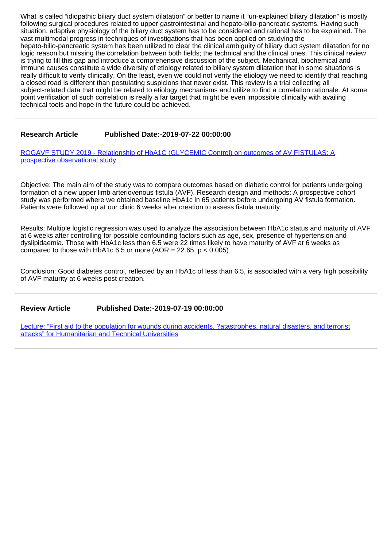What is called "idiopathic biliary duct system dilatation" or better to name it "un-explained biliary dilatation" is mostly following surgical procedures related to upper gastrointestinal and hepato-bilio-pancreatic systems. Having such situation, adaptive physiology of the biliary duct system has to be considered and rational has to be explained. The vast multimodal progress in techniques of investigations that has been applied on studying the hepato-bilio-pancreatic system has been utilized to clear the clinical ambiguity of biliary duct system dilatation for no logic reason but missing the correlation between both fields; the technical and the clinical ones. This clinical review is trying to fill this gap and introduce a comprehensive discussion of the subject. Mechanical, biochemical and immune causes constitute a wide diversity of etiology related to biliary system dilatation that in some situations is really difficult to verify clinically. On the least, even we could not verify the etiology we need to identify that reaching a closed road is different than postulating suspicions that never exist. This review is a trial collecting all subject-related data that might be related to etiology mechanisms and utilize to find a correlation rationale. At some point verification of such correlation is really a far target that might be even impossible clinically with availing technical tools and hope in the future could be achieved.

#### **Research Article Published Date:-2019-07-22 00:00:00**

[ROGAVF STUDY 2019 - Relationship of HbA1C \(GLYCEMIC Control\) on outcomes of AV FISTULAS: A](https://www.clinsurgeryjournal.com/articles/ascr-aid1033.pdf) [prospective observational study](https://www.clinsurgeryjournal.com/articles/ascr-aid1033.pdf)

Objective: The main aim of the study was to compare outcomes based on diabetic control for patients undergoing formation of a new upper limb arteriovenous fistula (AVF). Research design and methods: A prospective cohort study was performed where we obtained baseline HbA1c in 65 patients before undergoing AV fistula formation. Patients were followed up at our clinic 6 weeks after creation to assess fistula maturity.

Results: Multiple logistic regression was used to analyze the association between HbA1c status and maturity of AVF at 6 weeks after controlling for possible confounding factors such as age, sex, presence of hypertension and dyslipidaemia. Those with HbA1c less than 6.5 were 22 times likely to have maturity of AVF at 6 weeks as compared to those with HbA1c 6.5 or more (AOR =  $22.65$ ,  $p < 0.005$ )

Conclusion: Good diabetes control, reflected by an HbA1c of less than 6.5, is associated with a very high possibility of AVF maturity at 6 weeks post creation.

**Review Article Published Date:-2019-07-19 00:00:00**

[Lecture: "First aid to the population for wounds during accidents, ?atastrophes, natural disasters, and terrorist](https://www.clinsurgeryjournal.com/articles/ascr-aid1031.pdf) [attacks" for Humanitarian and Technical Universities](https://www.clinsurgeryjournal.com/articles/ascr-aid1031.pdf)